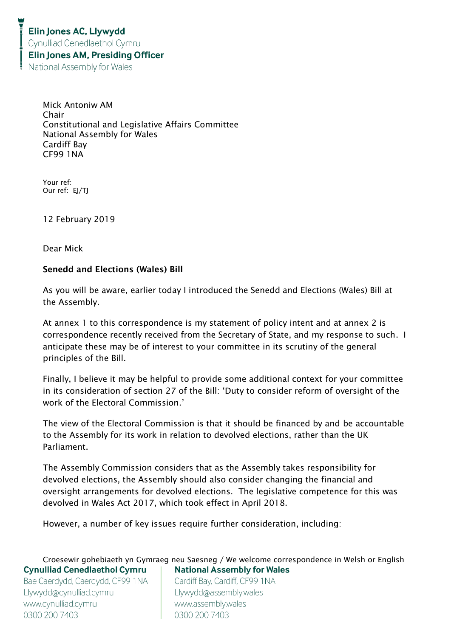Mick Antoniw AM Chair Constitutional and Legislative Affairs Committee National Assembly for Wales Cardiff Bay CF99 1NA

Your ref: Our ref: EJ/TJ

12 February 2019

Dear Mick

## Senedd and Elections (Wales) Bill

As you will be aware, earlier today I introduced the Senedd and Elections (Wales) Bill at the Assembly.

At annex 1 to this correspondence is my statement of policy intent and at annex 2 is correspondence recently received from the Secretary of State, and my response to such. I anticipate these may be of interest to your committee in its scrutiny of the general principles of the Bill.

Finally, I believe it may be helpful to provide some additional context for your committee in its consideration of section 27 of the Bill: 'Duty to consider reform of oversight of the work of the Electoral Commission.'

The view of the Electoral Commission is that it should be financed by and be accountable to the Assembly for its work in relation to devolved elections, rather than the UK Parliament.

The Assembly Commission considers that as the Assembly takes responsibility for devolved elections, the Assembly should also consider changing the financial and oversight arrangements for devolved elections. The legislative competence for this was devolved in Wales Act 2017, which took effect in April 2018.

However, a number of key issues require further consideration, including:

Croesewir gohebiaeth yn Gymraeg neu Saesneg / We welcome correspondence in Welsh or English **Cynulliad Cenedlaethol Cymru National Assembly for Wales** Bae Caerdydd, Caerdydd, CF99 1NA Cardiff Bay, Cardiff, CF99 1NA Llywydd@cynulliad.cymru Llywydd@assembly.wales www.cynulliad.cymru www.assembly.wales 0300 200 7403 0300 200 7403